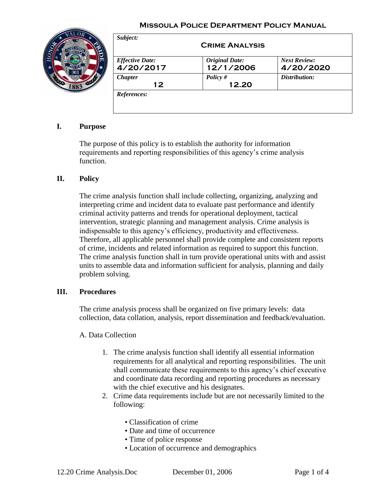### **Missoula Police Department Policy Manual**



| <b>Effective Date:</b> | <b>Original Date:</b><br>12/1/2006 | <b>Next Review:</b> |
|------------------------|------------------------------------|---------------------|
| 4/20/2017              |                                    | 4/20/2020           |
| <b>Chapter</b><br>12   | Policy $#$<br>12.20                | Distribution:       |

# **I. Purpose**

The purpose of this policy is to establish the authority for information requirements and reporting responsibilities of this agency's crime analysis function.

### **II. Policy**

The crime analysis function shall include collecting, organizing, analyzing and interpreting crime and incident data to evaluate past performance and identify criminal activity patterns and trends for operational deployment, tactical intervention, strategic planning and management analysis. Crime analysis is indispensable to this agency's efficiency, productivity and effectiveness. Therefore, all applicable personnel shall provide complete and consistent reports of crime, incidents and related information as required to support this function. The crime analysis function shall in turn provide operational units with and assist units to assemble data and information sufficient for analysis, planning and daily problem solving.

### **III. Procedures**

The crime analysis process shall be organized on five primary levels: data collection, data collation, analysis, report dissemination and feedback/evaluation.

A. Data Collection

- 1. The crime analysis function shall identify all essential information requirements for all analytical and reporting responsibilities. The unit shall communicate these requirements to this agency's chief executive and coordinate data recording and reporting procedures as necessary with the chief executive and his designates.
- 2. Crime data requirements include but are not necessarily limited to the following:
	- Classification of crime
	- Date and time of occurrence
	- Time of police response
	- Location of occurrence and demographics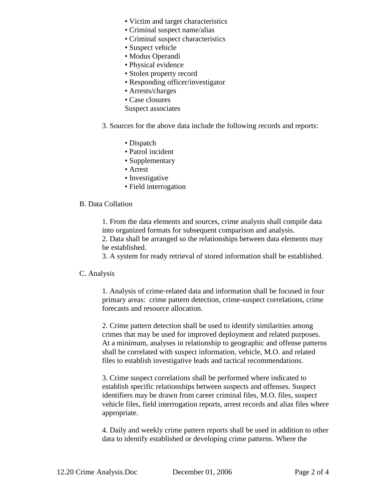- Victim and target characteristics
- Criminal suspect name/alias
- Criminal suspect characteristics
- Suspect vehicle
- Modus Operandi
- Physical evidence
- Stolen property record
- Responding officer/investigator
- Arrests/charges
- Case closures
- Suspect associates
- 3. Sources for the above data include the following records and reports:
	- Dispatch
	- Patrol incident
	- Supplementary
	- Arrest
	- Investigative
	- Field interrogation

#### B. Data Collation

1. From the data elements and sources, crime analysts shall compile data into organized formats for subsequent comparison and analysis.

2. Data shall be arranged so the relationships between data elements may be established.

3. A system for ready retrieval of stored information shall be established.

#### C. Analysis

1. Analysis of crime-related data and information shall be focused in four primary areas: crime pattern detection, crime-suspect correlations, crime forecasts and resource allocation.

2. Crime pattern detection shall be used to identify similarities among crimes that may be used for improved deployment and related purposes. At a minimum, analyses in relationship to geographic and offense patterns shall be correlated with suspect information, vehicle, M.O. and related files to establish investigative leads and tactical recommendations.

3. Crime suspect correlations shall be performed where indicated to establish specific relationships between suspects and offenses. Suspect identifiers may be drawn from career criminal files, M.O. files, suspect vehicle files, field interrogation reports, arrest records and alias files where appropriate.

4. Daily and weekly crime pattern reports shall be used in addition to other data to identify established or developing crime patterns. Where the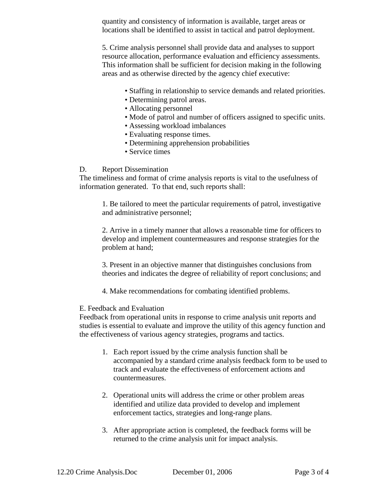quantity and consistency of information is available, target areas or locations shall be identified to assist in tactical and patrol deployment.

5. Crime analysis personnel shall provide data and analyses to support resource allocation, performance evaluation and efficiency assessments. This information shall be sufficient for decision making in the following areas and as otherwise directed by the agency chief executive:

- Staffing in relationship to service demands and related priorities.
- Determining patrol areas.
- Allocating personnel
- Mode of patrol and number of officers assigned to specific units.
- Assessing workload imbalances
- Evaluating response times.
- Determining apprehension probabilities
- Service times

#### D. Report Dissemination

The timeliness and format of crime analysis reports is vital to the usefulness of information generated. To that end, such reports shall:

1. Be tailored to meet the particular requirements of patrol, investigative and administrative personnel;

2. Arrive in a timely manner that allows a reasonable time for officers to develop and implement countermeasures and response strategies for the problem at hand;

3. Present in an objective manner that distinguishes conclusions from theories and indicates the degree of reliability of report conclusions; and

4. Make recommendations for combating identified problems.

#### E. Feedback and Evaluation

Feedback from operational units in response to crime analysis unit reports and studies is essential to evaluate and improve the utility of this agency function and the effectiveness of various agency strategies, programs and tactics.

- 1. Each report issued by the crime analysis function shall be accompanied by a standard crime analysis feedback form to be used to track and evaluate the effectiveness of enforcement actions and countermeasures.
- 2. Operational units will address the crime or other problem areas identified and utilize data provided to develop and implement enforcement tactics, strategies and long-range plans.
- 3. After appropriate action is completed, the feedback forms will be returned to the crime analysis unit for impact analysis.